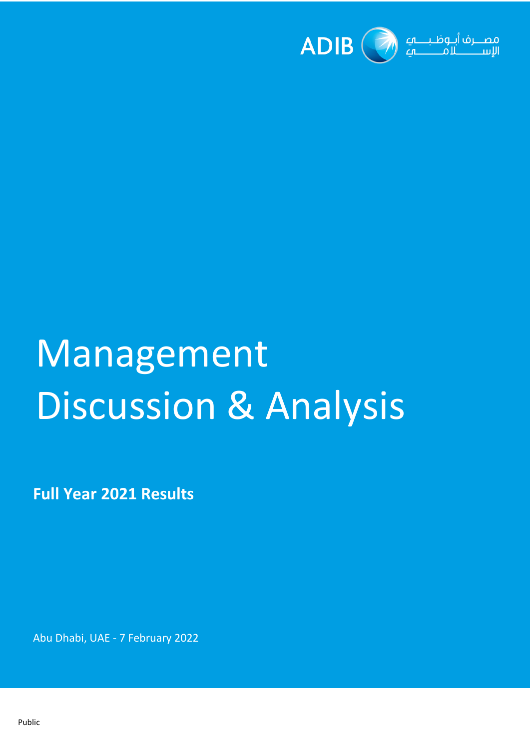

# Management Discussion & Analysis

**Full Year 2021 Results**

Abu Dhabi, UAE - 7 February 2022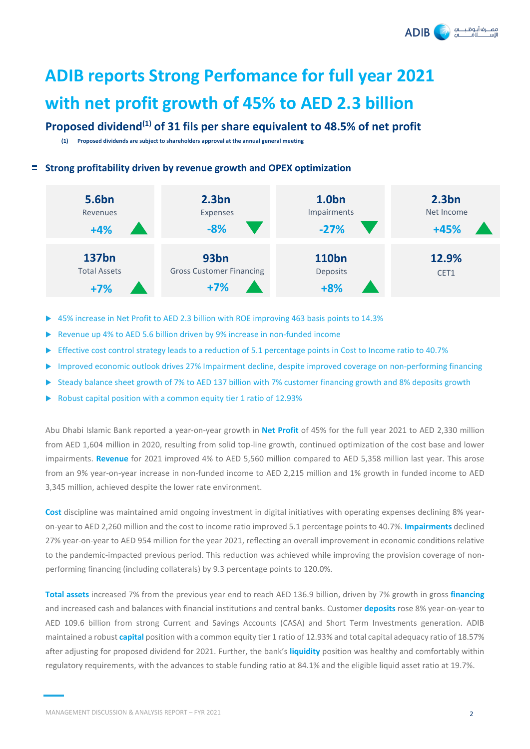لاف أنبوظننا **ADIB** 

## **ADIB reports Strong Perfomance for full year 2021 with net profit growth of 45% to AED 2.3 billion**

### **Proposed dividend(1) of 31 fils per share equivalent to 48.5% of net profit**

**(1) Proposed dividends are subject to shareholders approval at the annual general meeting** 

#### **Strong profitability driven by revenue growth and OPEX optimization**



- 45% increase in Net Profit to AED 2.3 billion with ROE improving 463 basis points to 14.3%
- Revenue up 4% to AED 5.6 billion driven by 9% increase in non-funded income
- Effective cost control strategy leads to a reduction of 5.1 percentage points in Cost to Income ratio to 40.7%
- Improved economic outlook drives 27% Impairment decline, despite improved coverage on non-performing financing
- Steady balance sheet growth of 7% to AED 137 billion with 7% customer financing growth and 8% deposits growth
- Robust capital position with a common equity tier 1 ratio of 12.93%

Abu Dhabi Islamic Bank reported a year-on-year growth in **Net Profit** of 45% for the full year 2021 to AED 2,330 million from AED 1,604 million in 2020, resulting from solid top-line growth, continued optimization of the cost base and lower impairments. **Revenue** for 2021 improved 4% to AED 5,560 million compared to AED 5,358 million last year. This arose from an 9% year-on-year increase in non-funded income to AED 2,215 million and 1% growth in funded income to AED 3,345 million, achieved despite the lower rate environment.

**Cost** discipline was maintained amid ongoing investment in digital initiatives with operating expenses declining 8% yearon-year to AED 2,260 million and the cost to income ratio improved 5.1 percentage points to 40.7%. **Impairments** declined 27% year-on-year to AED 954 million for the year 2021, reflecting an overall improvement in economic conditions relative to the pandemic-impacted previous period. This reduction was achieved while improving the provision coverage of nonperforming financing (including collaterals) by 9.3 percentage points to 120.0%.

**Total assets** increased 7% from the previous year end to reach AED 136.9 billion, driven by 7% growth in gross **financing** and increased cash and balances with financial institutions and central banks. Customer **deposits** rose 8% year-on-year to AED 109.6 billion from strong Current and Savings Accounts (CASA) and Short Term Investments generation. ADIB maintained a robust **capital** position with a common equity tier 1 ratio of 12.93% and total capital adequacy ratio of 18.57% after adjusting for proposed dividend for 2021. Further, the bank's **liquidity** position was healthy and comfortably within regulatory requirements, with the advances to stable funding ratio at 84.1% and the eligible liquid asset ratio at 19.7%.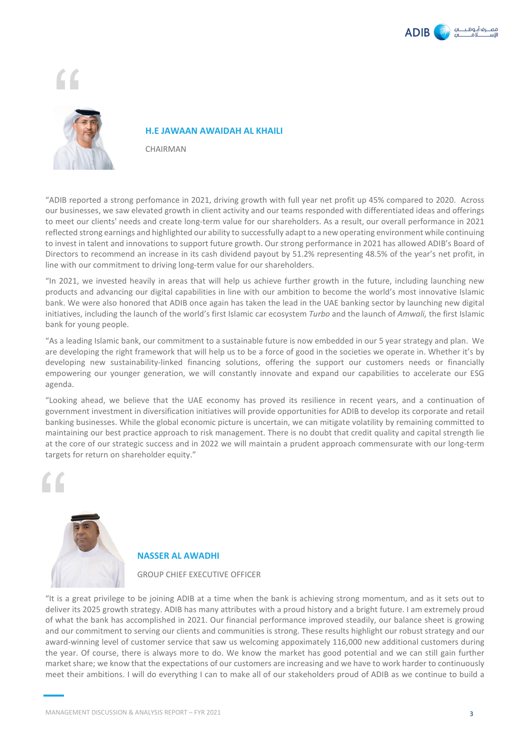



#### **H.E JAWAAN AWAIDAH AL KHAILI**

CHAIRMAN

"ADIB reported a strong perfomance in 2021, driving growth with full year net profit up 45% compared to 2020. Across our businesses, we saw elevated growth in client activity and our teams responded with differentiated ideas and offerings to meet our clients' needs and create long-term value for our shareholders. As a result, our overall performance in 2021 reflected strong earnings and highlighted our ability to successfully adapt to a new operating environment while continuing to invest in talent and innovations to support future growth. Our strong performance in 2021 has allowed ADIB's Board of Directors to recommend an increase in its cash dividend payout by 51.2% representing 48.5% of the year's net profit, in line with our commitment to driving long-term value for our shareholders.

"In 2021, we invested heavily in areas that will help us achieve further growth in the future, including launching new products and advancing our digital capabilities in line with our ambition to become the world's most innovative Islamic bank. We were also honored that ADIB once again has taken the lead in the UAE banking sector by launching new digital initiatives, including the launch of the world's first Islamic car ecosystem *Turbo* and the launch of *Amwali,* the first Islamic bank for young people.

"As a leading Islamic bank, our commitment to a sustainable future is now embedded in our 5 year strategy and plan. We are developing the right framework that will help us to be a force of good in the societies we operate in. Whether it's by developing new sustainability-linked financing solutions, offering the support our customers needs or financially empowering our younger generation, we will constantly innovate and expand our capabilities to accelerate our ESG agenda.

"Looking ahead, we believe that the UAE economy has proved its resilience in recent years, and a continuation of government investment in diversification initiatives will provide opportunities for ADIB to develop its corporate and retail banking businesses. While the global economic picture is uncertain, we can mitigate volatility by remaining committed to maintaining our best practice approach to risk management. There is no doubt that credit quality and capital strength lie at the core of our strategic success and in 2022 we will maintain a prudent approach commensurate with our long-term targets for return on shareholder equity."





#### **NASSER AL AWADHI**

#### GROUP CHIEF EXECUTIVE OFFICER

"It is a great privilege to be joining ADIB at a time when the bank is achieving strong momentum, and as it sets out to deliver its 2025 growth strategy. ADIB has many attributes with a proud history and a bright future. I am extremely proud of what the bank has accomplished in 2021. Our financial performance improved steadily, our balance sheet is growing and our commitment to serving our clients and communities is strong. These results highlight our robust strategy and our award-winning level of customer service that saw us welcoming appoximately 116,000 new additional customers during the year. Of course, there is always more to do. We know the market has good potential and we can still gain further market share; we know that the expectations of our customers are increasing and we have to work harder to continuously meet their ambitions. I will do everything I can to make all of our stakeholders proud of ADIB as we continue to build a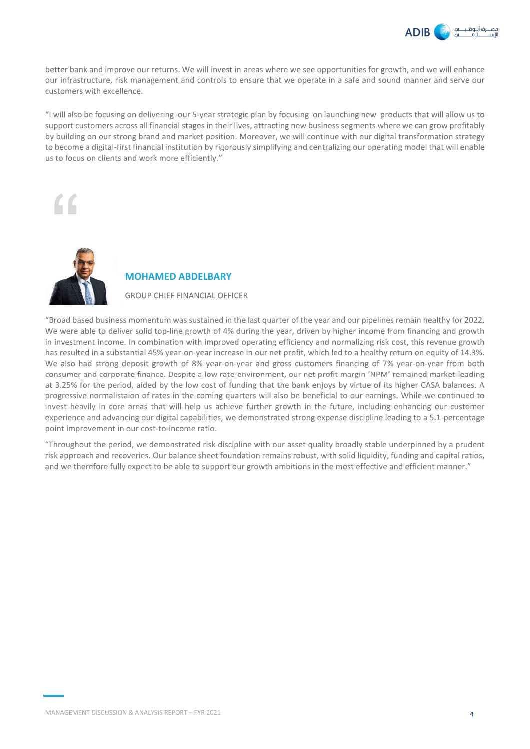

better bank and improve our returns. We will invest in areas where we see opportunities for growth, and we will enhance our infrastructure, risk management and controls to ensure that we operate in a safe and sound manner and serve our customers with excellence.

"I will also be focusing on delivering our 5-year strategic plan by focusing on launching new products that will allow us to support customers across all financial stages in their lives, attracting new business segments where we can grow profitably by building on our strong brand and market position. Moreover, we will continue with our digital transformation strategy to become a digital-first financial institution by rigorously simplifying and centralizing our operating model that will enable us to focus on clients and work more efficiently."





#### **MOHAMED ABDELBARY**

GROUP CHIEF FINANCIAL OFFICER

"Broad based business momentum was sustained in the last quarter of the year and our pipelines remain healthy for 2022. We were able to deliver solid top-line growth of 4% during the year, driven by higher income from financing and growth in investment income. In combination with improved operating efficiency and normalizing risk cost, this revenue growth has resulted in a substantial 45% year-on-year increase in our net profit, which led to a healthy return on equity of 14.3%. We also had strong deposit growth of 8% year-on-year and gross customers financing of 7% year-on-year from both consumer and corporate finance. Despite a low rate-environment, our net profit margin 'NPM' remained market-leading at 3.25% for the period, aided by the low cost of funding that the bank enjoys by virtue of its higher CASA balances. A progressive normalistaion of rates in the coming quarters will also be beneficial to our earnings. While we continued to invest heavily in core areas that will help us achieve further growth in the future, including enhancing our customer experience and advancing our digital capabilities, we demonstrated strong expense discipline leading to a 5.1-percentage point improvement in our cost-to-income ratio.

"Throughout the period, we demonstrated risk discipline with our asset quality broadly stable underpinned by a prudent risk approach and recoveries. Our balance sheet foundation remains robust, with solid liquidity, funding and capital ratios, and we therefore fully expect to be able to support our growth ambitions in the most effective and efficient manner."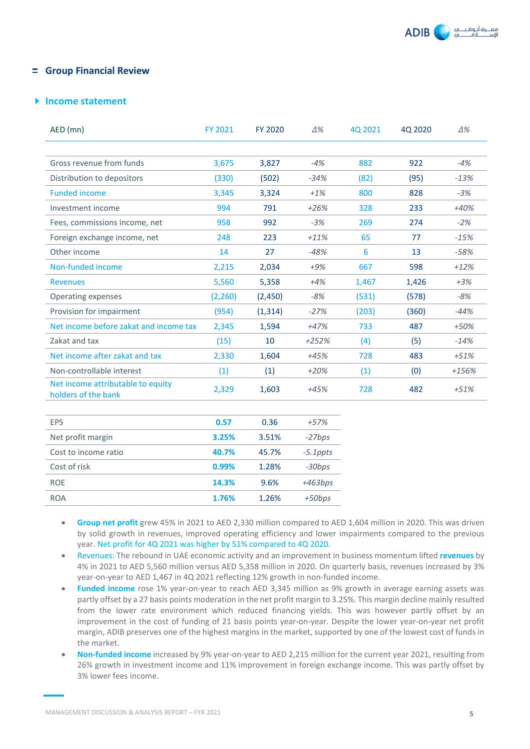

#### **Group Financial Review**

#### **Income statement**

| $AED$ (mn)                                               | FY 2021  | <b>FY 2020</b> | $\Delta\%$ | 40 2021 | 40 2020 | $\Delta\%$ |
|----------------------------------------------------------|----------|----------------|------------|---------|---------|------------|
|                                                          |          |                |            |         |         |            |
| Gross revenue from funds                                 | 3,675    | 3,827          | $-4%$      | 882     | 922     | $-4%$      |
| Distribution to depositors                               | (330)    | (502)          | $-34%$     | (82)    | (95)    | $-13%$     |
| <b>Funded income</b>                                     | 3,345    | 3,324          | $+1%$      | 800     | 828     | $-3%$      |
| Investment income                                        | 994      | 791            | $+26%$     | 328     | 233     | $+40%$     |
| Fees, commissions income, net                            | 958      | 992            | $-3%$      | 269     | 274     | $-2%$      |
| Foreign exchange income, net                             | 248      | 223            | $+11%$     | 65      | 77      | $-15%$     |
| Other income                                             | 14       | 27             | $-48%$     | 6       | 13      | $-58%$     |
| Non-funded income                                        | 2,215    | 2,034          | $+9%$      | 667     | 598     | $+12%$     |
| <b>Revenues</b>                                          | 5,560    | 5,358          | $+4%$      | 1,467   | 1,426   | $+3%$      |
| Operating expenses                                       | (2, 260) | (2,450)        | $-8%$      | (531)   | (578)   | $-8%$      |
| Provision for impairment                                 | (954)    | (1,314)        | $-27%$     | (203)   | (360)   | $-44%$     |
| Net income before zakat and income tax                   | 2,345    | 1,594          | $+47%$     | 733     | 487     | $+50%$     |
| Zakat and tax                                            | (15)     | 10             | $+252%$    | (4)     | (5)     | $-14%$     |
| Net income after zakat and tax                           | 2,330    | 1,604          | $+45%$     | 728     | 483     | $+51%$     |
| Non-controllable interest                                | (1)      | (1)            | $+20%$     | (1)     | (0)     | $+156%$    |
| Net income attributable to equity<br>holders of the bank | 2,329    | 1,603          | $+45%$     | 728     | 482     | $+51%$     |

| <b>EPS</b>           | 0.57  | 0.36  | $+57%$      |
|----------------------|-------|-------|-------------|
| Net profit margin    | 3.25% | 3.51% | $-27bps$    |
| Cost to income ratio | 40.7% | 45.7% | $-5.1$ ppts |
| Cost of risk         | 0.99% | 1.28% | $-30bps$    |
| <b>ROF</b>           | 14.3% | 9.6%  | $+463bps$   |
| <b>ROA</b>           | 1.76% | 1.26% | $+50bps$    |
|                      |       |       |             |

- **Group net profit** grew 45% in 2021 to AED 2,330 million compared to AED 1,604 million in 2020. This was driven by solid growth in revenues, improved operating efficiency and lower impairments compared to the previous year. Net profit for 4Q 2021 was higher by 51% compared to 4Q 2020.
- Revenues: The rebound in UAE economic activity and an improvement in business momentum lifted **revenues** by 4% in 2021 to AED 5,560 million versus AED 5,358 million in 2020. On quarterly basis, revenues increased by 3% year-on-year to AED 1,467 in 4Q 2021 reflecting 12% growth in non-funded income.
- **Funded income** rose 1% year-on-year to reach AED 3,345 million as 9% growth in average earning assets was partly offset by a 27 basis points moderation in the net profit margin to 3.25%. This margin decline mainly resulted from the lower rate environment which reduced financing yields. This was however partly offset by an improvement in the cost of funding of 21 basis points year-on-year. Despite the lower year-on-year net profit margin, ADIB preserves one of the highest margins in the market, supported by one of the lowest cost of funds in the market.
- **Non-funded income** increased by 9% year-on-year to AED 2,215 million for the current year 2021, resulting from 26% growth in investment income and 11% improvement in foreign exchange income. This was partly offset by 3% lower fees income.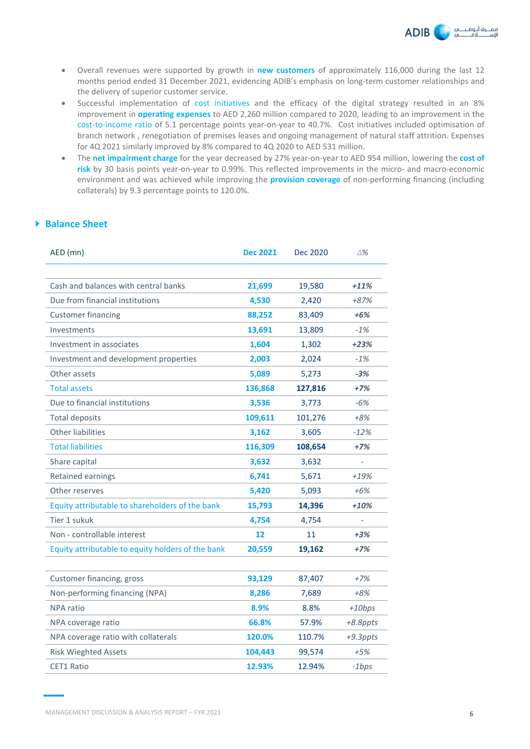

- Overall revenues were supported by growth in **new customers** of approximately 116,000 during the last 12 months period ended 31 December 2021, evidencing ADIB's emphasis on long-term customer relationships and the delivery of superior customer service.
- Successful implementation of cost initiatives and the efficacy of the digital strategy resulted in an 8% improvement in **operating expenses** to AED 2,260 million compared to 2020, leading to an improvement in the cost-to-income ratio of 5.1 percentage points year-on-year to 40.7%. Cost initiatives included optimisation of branch network , renegotiation of premises leases and ongoing management of natural staff attrition. Expenses for 4Q 2021 similarly improved by 8% compared to 4Q 2020 to AED 531 million.
- The **net impairment charge** for the year decreased by 27% year-on-year to AED 954 million, lowering the **cost of risk** by 30 basis points year-on-year to 0.99%. This reflected improvements in the micro- and macro-economic environment and was achieved while improving the **provision coverage** of non-performing financing (including collaterals) by 9.3 percentage points to 120.0%.

#### **Balance Sheet**

| AED (mn)                                          | <b>Dec 2021</b> | <b>Dec 2020</b> | ∆%          |
|---------------------------------------------------|-----------------|-----------------|-------------|
|                                                   |                 |                 |             |
| Cash and balances with central banks              | 21,699          | 19,580          | $+11%$      |
| Due from financial institutions                   | 4,530           | 2,420           | +87%        |
| <b>Customer financing</b>                         | 88,252          | 83,409          | +6%         |
| Investments                                       | 13,691          | 13,809          | $-1%$       |
| Investment in associates                          | 1,604           | 1,302           | $+23%$      |
| Investment and development properties             | 2,003           | 2,024           | $-1%$       |
| Other assets                                      | 5,089           | 5,273           | $-3%$       |
| <b>Total assets</b>                               | 136,868         | 127,816         | +7%         |
| Due to financial institutions                     | 3,536           | 3,773           | $-6%$       |
| <b>Total deposits</b>                             | 109,611         | 101,276         | $+8%$       |
| <b>Other liabilities</b>                          | 3,162           | 3,605           | $-12%$      |
| <b>Total liabilities</b>                          | 116,309         | 108,654         | $+7%$       |
| Share capital                                     | 3,632           | 3,632           |             |
| Retained earnings                                 | 6,741           | 5,671           | +19%        |
| Other reserves                                    | 5,420           | 5,093           | +6%         |
| Equity attributable to shareholders of the bank   | 15,793          | 14,396          | $+10%$      |
| Tier 1 sukuk                                      | 4,754           | 4,754           |             |
| Non - controllable interest                       | 12              | 11              | $+3%$       |
| Equity attributable to equity holders of the bank | 20,559          | 19,162          | $+7%$       |
|                                                   |                 |                 |             |
| Customer financing, gross                         | 93,129          | 87,407          | $+7%$       |
| Non-performing financing (NPA)                    | 8,286           | 7,689           | +8%         |
| <b>NPA</b> ratio                                  | 8.9%            | 8.8%            | $+10bps$    |
| NPA coverage ratio                                | 66.8%           | 57.9%           | $+8.8$ ppts |
| NPA coverage ratio with collaterals               | 120.0%          | 110.7%          | $+9.3$ ppts |
| <b>Risk Wieghted Assets</b>                       | 104,443         | 99,574          | $+5%$       |
| <b>CET1 Ratio</b>                                 | 12.93%          | 12.94%          | $-1bps$     |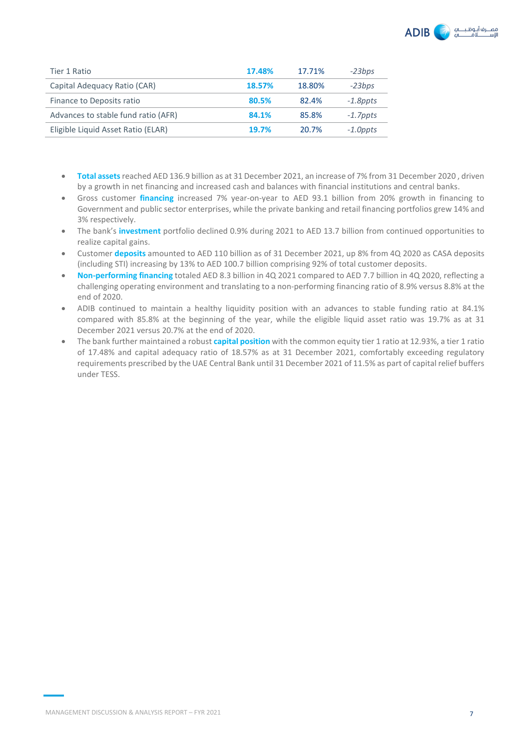| <b>ADIB</b> | مصـــرف أبــوظـبــــــــهــــ<br>الاستثنائات<br>$\sqrt{ }$ |  |
|-------------|------------------------------------------------------------|--|
|-------------|------------------------------------------------------------|--|

| Tier 1 Ratio                        | 17.48% | 17.71% | $-23bps$    |
|-------------------------------------|--------|--------|-------------|
| Capital Adequacy Ratio (CAR)        | 18.57% | 18.80% | $-23bps$    |
| Finance to Deposits ratio           | 80.5%  | 82.4%  | $-1.8$ ppts |
| Advances to stable fund ratio (AFR) | 84.1%  | 85.8%  | $-1.7$ ppts |
| Eligible Liquid Asset Ratio (ELAR)  | 19.7%  | 20.7%  | $-1.0$ ppts |

- **Total assets**reached AED 136.9 billion as at 31 December 2021, an increase of 7% from 31 December 2020 , driven by a growth in net financing and increased cash and balances with financial institutions and central banks.
- Gross customer **financing** increased 7% year-on-year to AED 93.1 billion from 20% growth in financing to Government and public sector enterprises, while the private banking and retail financing portfolios grew 14% and 3% respectively.
- The bank's **investment** portfolio declined 0.9% during 2021 to AED 13.7 billion from continued opportunities to realize capital gains.
- Customer **deposits** amounted to AED 110 billion as of 31 December 2021, up 8% from 4Q 2020 as CASA deposits (including STI) increasing by 13% to AED 100.7 billion comprising 92% of total customer deposits.
- **Non-performing financing** totaled AED 8.3 billion in 4Q 2021 compared to AED 7.7 billion in 4Q 2020, reflecting a challenging operating environment and translating to a non-performing financing ratio of 8.9% versus 8.8% at the end of 2020.
- ADIB continued to maintain a healthy liquidity position with an advances to stable funding ratio at 84.1% compared with 85.8% at the beginning of the year, while the eligible liquid asset ratio was 19.7% as at 31 December 2021 versus 20.7% at the end of 2020.
- The bank further maintained a robust **capital position** with the common equity tier 1 ratio at 12.93%, a tier 1 ratio of 17.48% and capital adequacy ratio of 18.57% as at 31 December 2021, comfortably exceeding regulatory requirements prescribed by the UAE Central Bank until 31 December 2021 of 11.5% as part of capital relief buffers under TESS.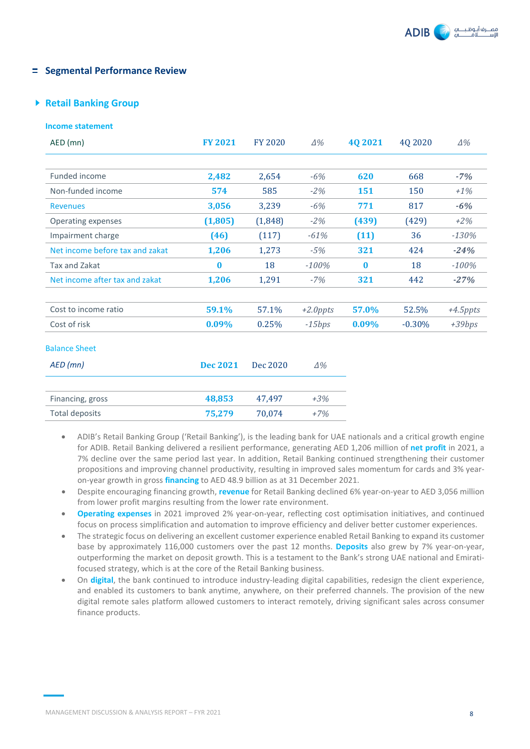#### **Fig. 2** Segmental Performance Review

#### **Retail Banking Group**

| <b>Income statement</b>         |                 |                |             |            |          |             |
|---------------------------------|-----------------|----------------|-------------|------------|----------|-------------|
| AED (mn)                        | <b>FY 2021</b>  | <b>FY 2020</b> | $\Delta\%$  | 4Q 2021    | 4Q 2020  | $\Delta\%$  |
|                                 |                 |                |             |            |          |             |
| Funded income                   | 2,482           | 2,654          | $-6%$       | 620        | 668      | $-7%$       |
| Non-funded income               | 574             | 585            | $-2%$       | <b>151</b> | 150      | $+1\%$      |
| <b>Revenues</b>                 | 3,056           | 3,239          | $-6%$       | 771        | 817      | $-6%$       |
| Operating expenses              | (1, 805)        | (1,848)        | $-2%$       | (439)      | (429)    | $+2%$       |
| Impairment charge               | (46)            | (117)          | $-61%$      | (11)       | 36       | $-130%$     |
| Net income before tax and zakat | 1,206           | 1,273          | $-5%$       | 321        | 424      | $-24%$      |
| <b>Tax and Zakat</b>            | $\bf{0}$        | 18             | $-100%$     | $\bf{0}$   | 18       | $-100%$     |
| Net income after tax and zakat  | 1,206           | 1,291          | $-7%$       | 321        | 442      | $-27%$      |
| Cost to income ratio            | 59.1%           | 57.1%          | $+2.0$ ppts | 57.0%      | 52.5%    | $+4.5$ ppts |
| Cost of risk                    | 0.09%           | 0.25%          | $-15bps$    | 0.09%      | $-0.30%$ | $+39bps$    |
| <b>Balance Sheet</b>            |                 |                |             |            |          |             |
| $AED$ (mn)                      | <b>Dec 2021</b> | Dec 2020       | $\Delta\%$  |            |          |             |
| Financing, gross                | 48,853          | 47,497         | $+3%$       |            |          |             |
| <b>Total deposits</b>           | 75,279          | 70,074         | $+7%$       |            |          |             |

- ADIB's Retail Banking Group ('Retail Banking'), is the leading bank for UAE nationals and a critical growth engine for ADIB. Retail Banking delivered a resilient performance, generating AED 1,206 million of **net profit** in 2021, a 7% decline over the same period last year. In addition, Retail Banking continued strengthening their customer propositions and improving channel productivity, resulting in improved sales momentum for cards and 3% yearon-year growth in gross **financing** to AED 48.9 billion as at 31 December 2021.
- Despite encouraging financing growth, **revenue** for Retail Banking declined 6% year-on-year to AED 3,056 million from lower profit margins resulting from the lower rate environment.
- **Operating expenses** in 2021 improved 2% year-on-year, reflecting cost optimisation initiatives, and continued focus on process simplification and automation to improve efficiency and deliver better customer experiences.
- The strategic focus on delivering an excellent customer experience enabled Retail Banking to expand its customer base by approximately 116,000 customers over the past 12 months. **Deposits** also grew by 7% year-on-year, outperforming the market on deposit growth. This is a testament to the Bank's strong UAE national and Emiratifocused strategy, which is at the core of the Retail Banking business.
- On **digital**, the bank continued to introduce industry-leading digital capabilities, redesign the client experience, and enabled its customers to bank anytime, anywhere, on their preferred channels. The provision of the new digital remote sales platform allowed customers to interact remotely, driving significant sales across consumer finance products.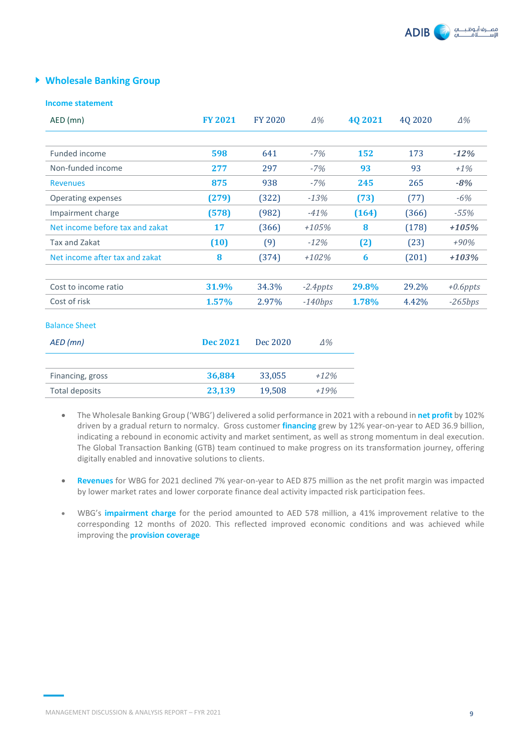

#### **Wholesale Banking Group**

#### **Income statement**

| AED (mn)                        | <b>FY 2021</b>  | <b>FY 2020</b> | $\Delta\%$  | 4Q 2021 | 4Q 2020 | $\Delta\%$  |
|---------------------------------|-----------------|----------------|-------------|---------|---------|-------------|
|                                 |                 |                |             |         |         |             |
| Funded income                   | 598             | 641            | $-7%$       | 152     | 173     | $-12%$      |
| Non-funded income               | 277             | 297            | $-7%$       | 93      | 93      | $+1\%$      |
| <b>Revenues</b>                 | 875             | 938            | $-7%$       | 245     | 265     | $-8%$       |
| <b>Operating expenses</b>       | (279)           | (322)          | $-13%$      | (73)    | (77)    | $-6%$       |
| Impairment charge               | (578)           | (982)          | $-41%$      | (164)   | (366)   | $-55%$      |
| Net income before tax and zakat | 17              | (366)          | $+105%$     | 8       | (178)   | +105%       |
| Tax and Zakat                   | (10)            | (9)            | $-12%$      | (2)     | (23)    | $+90%$      |
| Net income after tax and zakat  | 8               | (374)          | $+102%$     | 6       | (201)   | $+103%$     |
| Cost to income ratio            | 31.9%           | 34.3%          | $-2.4$ ppts | 29.8%   | 29.2%   | $+0.6$ ppts |
| Cost of risk                    | 1.57%           | 2.97%          | $-140bps$   | 1.78%   | 4.42%   | $-265bps$   |
| <b>Balance Sheet</b>            |                 |                |             |         |         |             |
| $AED$ (mn)                      | <b>Dec 2021</b> | Dec 2020       | $\Delta\%$  |         |         |             |
| Financing, gross                | 36,884          | 33,055         | $+12%$      |         |         |             |
| Total deposits                  | 23,139          | 19,508         | $+19%$      |         |         |             |

- The Wholesale Banking Group ('WBG') delivered a solid performance in 2021 with a rebound in **net profit** by 102% driven by a gradual return to normalcy. Gross customer **financing** grew by 12% year-on-year to AED 36.9 billion, indicating a rebound in economic activity and market sentiment, as well as strong momentum in deal execution. The Global Transaction Banking (GTB) team continued to make progress on its transformation journey, offering digitally enabled and innovative solutions to clients.
- **Revenues** for WBG for 2021 declined 7% year-on-year to AED 875 million as the net profit margin was impacted by lower market rates and lower corporate finance deal activity impacted risk participation fees.
- WBG's **impairment charge** for the period amounted to AED 578 million, a 41% improvement relative to the corresponding 12 months of 2020. This reflected improved economic conditions and was achieved while improving the **provision coverage**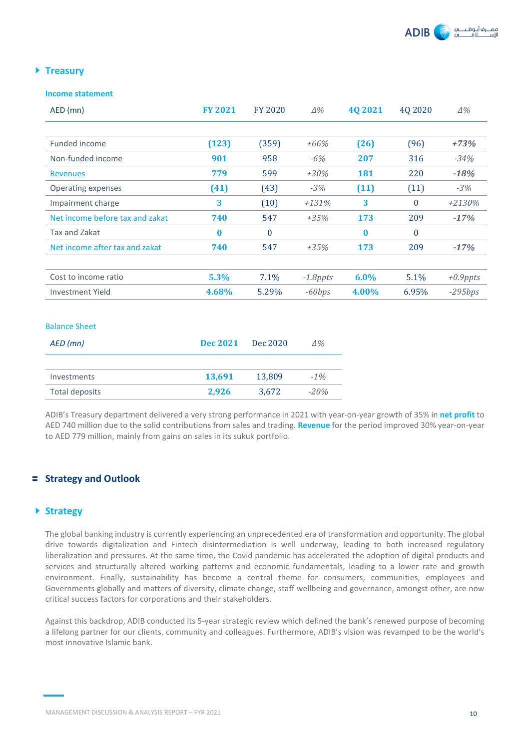

#### **Treasury**

#### **Income statement**

| AED (mn)                        | <b>FY 2021</b> | <b>FY 2020</b> | $\Delta\%$  | 40 20 21 | 4Q 2020  | $\Delta\%$  |
|---------------------------------|----------------|----------------|-------------|----------|----------|-------------|
|                                 |                |                |             |          |          |             |
| Funded income                   | (123)          | (359)          | $+66%$      | (26)     | (96)     | $+73%$      |
| Non-funded income               | 901            | 958            | $-6%$       | 207      | 316      | $-34%$      |
| <b>Revenues</b>                 | 779            | 599            | $+30%$      | 181      | 220      | $-18%$      |
| Operating expenses              | (41)           | (43)           | $-3%$       | (11)     | (11)     | $-3%$       |
| Impairment charge               | 3              | (10)           | $+131%$     | 3        | $\Omega$ | $+2130%$    |
| Net income before tax and zakat | 740            | 547            | $+35%$      | 173      | 209      | $-17%$      |
| Tax and Zakat                   | $\bf{0}$       | $\bf{0}$       |             | $\bf{0}$ | $\bf{0}$ |             |
| Net income after tax and zakat  | 740            | 547            | $+35%$      | 173      | 209      | $-17%$      |
|                                 |                |                |             |          |          |             |
| Cost to income ratio            | 5.3%           | 7.1%           | $-1.8$ ppts | $6.0\%$  | 5.1%     | $+0.9$ ppts |
| <b>Investment Yield</b>         | 4.68%          | 5.29%          | $-60bps$    | 4.00%    | 6.95%    | $-295bps$   |

#### Balance Sheet

| AED (mn)       | <b>Dec 2021</b> | Dec 2020 | Δ%     |
|----------------|-----------------|----------|--------|
|                |                 |          |        |
| Investments    | 13,691          | 13,809   | $-1\%$ |
| Total deposits | 2.926           | 3.672    | $-20%$ |

ADIB's Treasury department delivered a very strong performance in 2021 with year-on-year growth of 35% in **net profit** to AED 740 million due to the solid contributions from sales and trading. **Revenue** for the period improved 30% year-on-year to AED 779 million, mainly from gains on sales in its sukuk portfolio.

#### **Strategy and Outlook**

#### **Strategy**

The global banking industry is currently experiencing an unprecedented era of transformation and opportunity. The global drive towards digitalization and Fintech disintermediation is well underway, leading to both increased regulatory liberalization and pressures. At the same time, the Covid pandemic has accelerated the adoption of digital products and services and structurally altered working patterns and economic fundamentals, leading to a lower rate and growth environment. Finally, sustainability has become a central theme for consumers, communities, employees and Governments globally and matters of diversity, climate change, staff wellbeing and governance, amongst other, are now critical success factors for corporations and their stakeholders.

Against this backdrop, ADIB conducted its 5-year strategic review which defined the bank's renewed purpose of becoming a lifelong partner for our clients, community and colleagues. Furthermore, ADIB's vision was revamped to be the world's most innovative Islamic bank.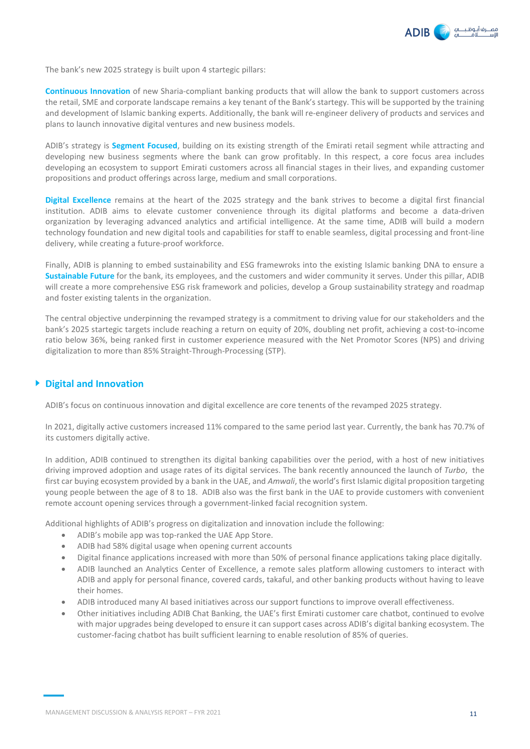

The bank's new 2025 strategy is built upon 4 startegic pillars:

**Continuous Innovation** of new Sharia-compliant banking products that will allow the bank to support customers across the retail, SME and corporate landscape remains a key tenant of the Bank's startegy. This will be supported by the training and development of Islamic banking experts. Additionally, the bank will re-engineer delivery of products and services and plans to launch innovative digital ventures and new business models.

ADIB's strategy is **Segment Focused**, building on its existing strength of the Emirati retail segment while attracting and developing new business segments where the bank can grow profitably. In this respect, a core focus area includes developing an ecosystem to support Emirati customers across all financial stages in their lives, and expanding customer propositions and product offerings across large, medium and small corporations.

**Digital Excellence** remains at the heart of the 2025 strategy and the bank strives to become a digital first financial institution. ADIB aims to elevate customer convenience through its digital platforms and become a data-driven organization by leveraging advanced analytics and artificial intelligence. At the same time, ADIB will build a modern technology foundation and new digital tools and capabilities for staff to enable seamless, digital processing and front-line delivery, while creating a future-proof workforce.

Finally, ADIB is planning to embed sustainability and ESG framewroks into the existing Islamic banking DNA to ensure a **Sustainable Future** for the bank, its employees, and the customers and wider community it serves. Under this pillar, ADIB will create a more comprehensive ESG risk framework and policies, develop a Group sustainability strategy and roadmap and foster existing talents in the organization.

The central objective underpinning the revamped strategy is a commitment to driving value for our stakeholders and the bank's 2025 startegic targets include reaching a return on equity of 20%, doubling net profit, achieving a cost-to-income ratio below 36%, being ranked first in customer experience measured with the Net Promotor Scores (NPS) and driving digitalization to more than 85% Straight-Through-Processing (STP).

#### **Digital and Innovation**

ADIB's focus on continuous innovation and digital excellence are core tenents of the revamped 2025 strategy.

In 2021, digitally active customers increased 11% compared to the same period last year. Currently, the bank has 70.7% of its customers digitally active.

In addition, ADIB continued to strengthen its digital banking capabilities over the period, with a host of new initiatives driving improved adoption and usage rates of its digital services. The bank recently announced the launch of *Turbo*, the first car buying ecosystem provided by a bank in the UAE, and *Amwali*, the world's first Islamic digital proposition targeting young people between the age of 8 to 18. ADIB also was the first bank in the UAE to provide customers with convenient remote account opening services through a government-linked facial recognition system.

Additional highlights of ADIB's progress on digitalization and innovation include the following:

- ADIB's mobile app was top-ranked the UAE App Store.
- ADIB had 58% digital usage when opening current accounts
- Digital finance applications increased with more than 50% of personal finance applications taking place digitally.
- ADIB launched an Analytics Center of Excellence, a remote sales platform allowing customers to interact with ADIB and apply for personal finance, covered cards, takaful, and other banking products without having to leave their homes.
- ADIB introduced many AI based initiatives across our support functions to improve overall effectiveness.
- Other initiatives including ADIB Chat Banking, the UAE's first Emirati customer care chatbot, continued to evolve with major upgrades being developed to ensure it can support cases across ADIB's digital banking ecosystem. The customer-facing chatbot has built sufficient learning to enable resolution of 85% of queries.